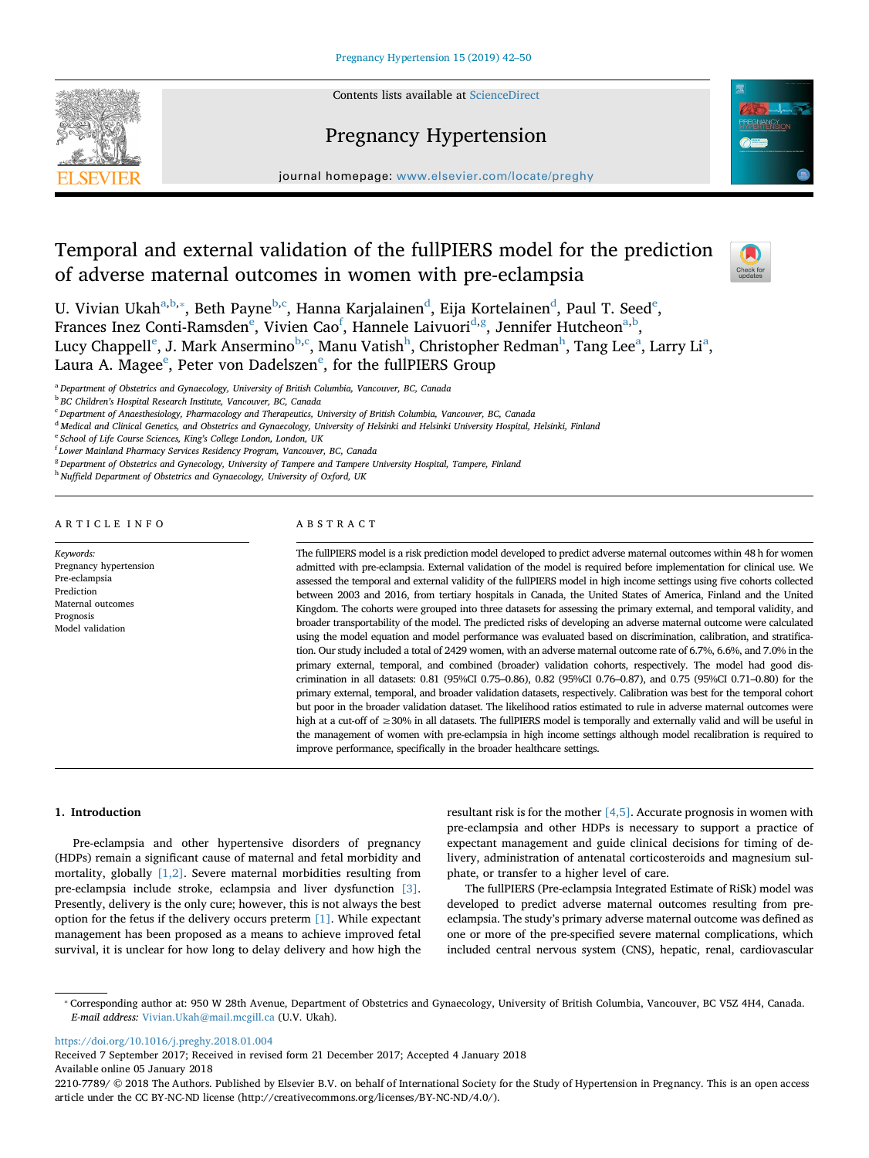Contents lists available at [ScienceDirect](http://www.sciencedirect.com/science/journal/22107789)

# Pregnancy Hypertension



journal homepage: [www.elsevier.com/locate/preghy](https://www.elsevier.com/locate/preghy)

# Temporal and external validation of the fullPIERS model for the prediction of adverse maternal outcomes in women with pre-eclampsia

 $\sum_{\text{the}}$ 

U. Vivi[a](#page-0-0)n Ukah $\rm^{a,b,*},$  $\rm^{a,b,*},$  $\rm^{a,b,*},$  B[e](#page-0-5)th Payne $\rm^{b,c},$  $\rm^{b,c},$  $\rm^{b,c},$  $\rm^{b,c},$  Hanna Karjalainen $\rm^d,$  $\rm^d,$  $\rm^d,$  Eija Kortelainen $\rm^d,$  Paul T. Seed $\rm^e,$ Franc[e](#page-0-5)s Inez Conti-Ramsden<sup>e</sup>, Vivien Cao<sup>[f](#page-0-6)</sup>, Hannele Laivuori<sup>[d](#page-0-4)[,g](#page-0-7)</sup>, Jennifer Hutcheon<sup>a[,b](#page-0-1)</sup>, Lucy Chapp[e](#page-0-5)ll<sup>e</sup>, J. Mark Ansermino<sup>b,[c](#page-0-3)</sup>, Manu Vatis[h](#page-0-8)<sup>h</sup>, Christopher Redm[a](#page-0-0)n<sup>h</sup>, Tang Lee<sup>a</sup>, Larry Li<sup>a</sup>, Laura A. Mag[e](#page-0-5)e $^{\rm e}$ , Peter von Dadelszen $^{\rm e}$ , for the fullPIERS Group

<span id="page-0-0"></span><sup>a</sup> *Department of Obstetrics and Gynaecology, University of British Columbia, Vancouver, BC, Canada*

# ARTICLE INFO

*Keywords:* Pregnancy hypertension Pre-eclampsia Prediction Maternal outcomes Prognosis Model validation

## ABSTRACT

The fullPIERS model is a risk prediction model developed to predict adverse maternal outcomes within 48 h for women admitted with pre-eclampsia. External validation of the model is required before implementation for clinical use. We assessed the temporal and external validity of the fullPIERS model in high income settings using five cohorts collected between 2003 and 2016, from tertiary hospitals in Canada, the United States of America, Finland and the United Kingdom. The cohorts were grouped into three datasets for assessing the primary external, and temporal validity, and broader transportability of the model. The predicted risks of developing an adverse maternal outcome were calculated using the model equation and model performance was evaluated based on discrimination, calibration, and stratification. Our study included a total of 2429 women, with an adverse maternal outcome rate of 6.7%, 6.6%, and 7.0% in the primary external, temporal, and combined (broader) validation cohorts, respectively. The model had good discrimination in all datasets: 0.81 (95%CI 0.75–0.86), 0.82 (95%CI 0.76–0.87), and 0.75 (95%CI 0.71–0.80) for the primary external, temporal, and broader validation datasets, respectively. Calibration was best for the temporal cohort but poor in the broader validation dataset. The likelihood ratios estimated to rule in adverse maternal outcomes were high at a cut-off of ≥30% in all datasets. The fullPIERS model is temporally and externally valid and will be useful in the management of women with pre-eclampsia in high income settings although model recalibration is required to improve performance, specifically in the broader healthcare settings.

#### **1. Introduction**

Pre-eclampsia and other hypertensive disorders of pregnancy (HDPs) remain a significant cause of maternal and fetal morbidity and mortality, globally [\[1,2\].](#page-7-0) Severe maternal morbidities resulting from pre-eclampsia include stroke, eclampsia and liver dysfunction [\[3\]](#page-7-1). Presently, delivery is the only cure; however, this is not always the best option for the fetus if the delivery occurs preterm [\[1\].](#page-7-0) While expectant management has been proposed as a means to achieve improved fetal survival, it is unclear for how long to delay delivery and how high the resultant risk is for the mother  $[4,5]$ . Accurate prognosis in women with pre-eclampsia and other HDPs is necessary to support a practice of expectant management and guide clinical decisions for timing of delivery, administration of antenatal corticosteroids and magnesium sulphate, or transfer to a higher level of care.

The fullPIERS (Pre-eclampsia Integrated Estimate of RiSk) model was developed to predict adverse maternal outcomes resulting from preeclampsia. The study's primary adverse maternal outcome was defined as one or more of the pre-specified severe maternal complications, which included central nervous system (CNS), hepatic, renal, cardiovascular

<https://doi.org/10.1016/j.preghy.2018.01.004>

<span id="page-0-1"></span><sup>b</sup> *BC Children's Hospital Research Institute, Vancouver, BC, Canada*

<span id="page-0-3"></span><sup>c</sup> *Department of Anaesthesiology, Pharmacology and Therapeutics, University of British Columbia, Vancouver, BC, Canada*

<span id="page-0-4"></span><sup>d</sup> *Medical and Clinical Genetics, and Obstetrics and Gynaecology, University of Helsinki and Helsinki University Hospital, Helsinki, Finland*

<span id="page-0-5"></span><sup>e</sup> *School of Life Course Sciences, King's College London, London, UK*

<span id="page-0-6"></span>f *Lower Mainland Pharmacy Services Residency Program, Vancouver, BC, Canada*

<span id="page-0-7"></span><sup>g</sup> *Department of Obstetrics and Gynecology, University of Tampere and Tampere University Hospital, Tampere, Finland*

<span id="page-0-8"></span><sup>h</sup> *Nuffield Department of Obstetrics and Gynaecology, University of Oxford, UK*

<span id="page-0-2"></span><sup>⁎</sup> Corresponding author at: 950 W 28th Avenue, Department of Obstetrics and Gynaecology, University of British Columbia, Vancouver, BC V5Z 4H4, Canada. *E-mail address:* [Vivian.Ukah@mail.mcgill.ca](mailto:Vivian.Ukah@mail.mcgill.ca) (U.V. Ukah).

Received 7 September 2017; Received in revised form 21 December 2017; Accepted 4 January 2018 Available online 05 January 2018

<sup>2210-7789/ © 2018</sup> The Authors. Published by Elsevier B.V. on behalf of International Society for the Study of Hypertension in Pregnancy. This is an open access article under the CC BY-NC-ND license (http://creativecommons.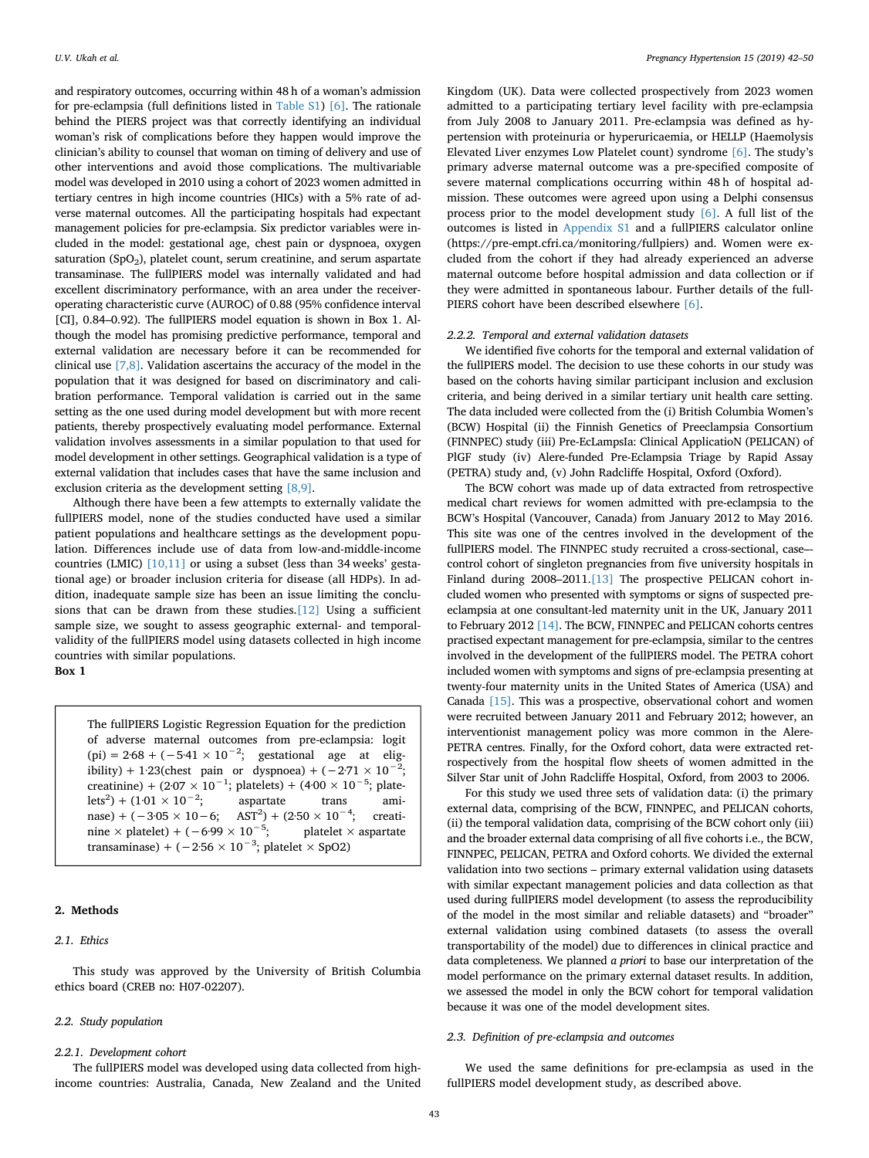and respiratory outcomes, occurring within 48 h of a woman's admission for pre-eclampsia (full definitions listed in Table S1) [\[6\].](#page-7-3) The rationale behind the PIERS project was that correctly identifying an individual woman's risk of complications before they happen would improve the clinician's ability to counsel that woman on timing of delivery and use of other interventions and avoid those complications. The multivariable model was developed in 2010 using a cohort of 2023 women admitted in tertiary centres in high income countries (HICs) with a 5% rate of adverse maternal outcomes. All the participating hospitals had expectant management policies for pre-eclampsia. Six predictor variables were included in the model: gestational age, chest pain or dyspnoea, oxygen saturation  $(SpO<sub>2</sub>)$ , platelet count, serum creatinine, and serum aspartate transaminase. The fullPIERS model was internally validated and had excellent discriminatory performance, with an area under the receiveroperating characteristic curve (AUROC) of 0.88 (95% confidence interval [CI], 0.84–0.92). The fullPIERS model equation is shown in Box 1. Although the model has promising predictive performance, temporal and external validation are necessary before it can be recommended for clinical use [\[7,8\]](#page-7-4). Validation ascertains the accuracy of the model in the population that it was designed for based on discriminatory and calibration performance. Temporal validation is carried out in the same setting as the one used during model development but with more recent patients, thereby prospectively evaluating model performance. External validation involves assessments in a similar population to that used for model development in other settings. Geographical validation is a type of external validation that includes cases that have the same inclusion and exclusion criteria as the development setting [\[8,9\].](#page-7-5)

Although there have been a few attempts to externally validate the fullPIERS model, none of the studies conducted have used a similar patient populations and healthcare settings as the development population. Differences include use of data from low-and-middle-income countries (LMIC) [\[10,11\]](#page-7-6) or using a subset (less than 34 weeks' gestational age) or broader inclusion criteria for disease (all HDPs). In addition, inadequate sample size has been an issue limiting the conclusions that can be drawn from these studies.[\[12\]](#page-7-7) Using a sufficient sample size, we sought to assess geographic external- and temporalvalidity of the fullPIERS model using datasets collected in high income countries with similar populations. **Box 1**

The fullPIERS Logistic Regression Equation for the prediction of adverse maternal outcomes from pre-eclampsia: logit  $(pi) = 2.68 + (-5.41 \times 10^{-2})$ ; gestational age at eligibility) + 1·23(chest pain or dyspnoea) +  $(-2.71 \times 10^{-2})$ ; creatinine) + (2·07 × 10<sup>-1</sup>; platelets) + (4·00 × 10<sup>-5</sup>; platelets<sup>2</sup>) + (1·01 × 10<sup>-2</sup>; aspartate trans aminase) + (-3·05 × 10-6; AST<sup>2</sup>) + (2·50 × 10<sup>-4</sup>; creatinine × platelet) + (−6·99 × 10<sup>-5</sup>; platelet × aspartate transaminase) + ( $-2.56 \times 10^{-3}$ ; platelet × SpO2)

# **2. Methods**

#### *2.1. Ethics*

This study was approved by the University of British Columbia ethics board (CREB no: H07-02207).

#### *2.2. Study population*

#### *2.2.1. Development cohort*

The fullPIERS model was developed using data collected from highincome countries: Australia, Canada, New Zealand and the United Kingdom (UK). Data were collected prospectively from 2023 women admitted to a participating tertiary level facility with pre-eclampsia from July 2008 to January 2011. Pre-eclampsia was defined as hypertension with proteinuria or hyperuricaemia, or HELLP (Haemolysis Elevated Liver enzymes Low Platelet count) syndrome [\[6\].](#page-7-3) The study's primary adverse maternal outcome was a pre-specified composite of severe maternal complications occurring within 48 h of hospital admission. These outcomes were agreed upon using a Delphi consensus process prior to the model development study [\[6\]](#page-7-3). A full list of the outcomes is listed in Appendix S1 and a fullPIERS calculator online (https://pre-empt.cfri.ca/monitoring/fullpiers) and. Women were excluded from the cohort if they had already experienced an adverse maternal outcome before hospital admission and data collection or if they were admitted in spontaneous labour. Further details of the full-PIERS cohort have been described elsewhere [\[6\]](#page-7-3).

## *2.2.2. Temporal and external validation datasets*

We identified five cohorts for the temporal and external validation of the fullPIERS model. The decision to use these cohorts in our study was based on the cohorts having similar participant inclusion and exclusion criteria, and being derived in a similar tertiary unit health care setting. The data included were collected from the (i) British Columbia Women's (BCW) Hospital (ii) the Finnish Genetics of Preeclampsia Consortium (FINNPEC) study (iii) Pre-EcLampsIa: Clinical ApplicatioN (PELICAN) of PlGF study (iv) Alere-funded Pre-Eclampsia Triage by Rapid Assay (PETRA) study and, (v) John Radcliffe Hospital, Oxford (Oxford).

The BCW cohort was made up of data extracted from retrospective medical chart reviews for women admitted with pre-eclampsia to the BCW's Hospital (Vancouver, Canada) from January 2012 to May 2016. This site was one of the centres involved in the development of the fullPIERS model. The FINNPEC study recruited a cross-sectional, case– control cohort of singleton pregnancies from five university hospitals in Finland during 2008–2011[.\[13\]](#page-7-8) The prospective PELICAN cohort included women who presented with symptoms or signs of suspected preeclampsia at one consultant-led maternity unit in the UK, January 2011 to February 2012 [\[14\]](#page-7-9). The BCW, FINNPEC and PELICAN cohorts centres practised expectant management for pre-eclampsia, similar to the centres involved in the development of the fullPIERS model. The PETRA cohort included women with symptoms and signs of pre-eclampsia presenting at twenty-four maternity units in the United States of America (USA) and Canada [\[15\].](#page-7-10) This was a prospective, observational cohort and women were recruited between January 2011 and February 2012; however, an interventionist management policy was more common in the Alere-PETRA centres. Finally, for the Oxford cohort, data were extracted retrospectively from the hospital flow sheets of women admitted in the Silver Star unit of John Radcliffe Hospital, Oxford, from 2003 to 2006.

For this study we used three sets of validation data: (i) the primary external data, comprising of the BCW, FINNPEC, and PELICAN cohorts, (ii) the temporal validation data, comprising of the BCW cohort only (iii) and the broader external data comprising of all five cohorts i.e., the BCW, FINNPEC, PELICAN, PETRA and Oxford cohorts. We divided the external validation into two sections – primary external validation using datasets with similar expectant management policies and data collection as that used during fullPIERS model development (to assess the reproducibility of the model in the most similar and reliable datasets) and "broader" external validation using combined datasets (to assess the overall transportability of the model) due to differences in clinical practice and data completeness. We planned *a priori* to base our interpretation of the model performance on the primary external dataset results. In addition, we assessed the model in only the BCW cohort for temporal validation because it was one of the model development sites.

#### *2.3. Definition of pre-eclampsia and outcomes*

We used the same definitions for pre-eclampsia as used in the fullPIERS model development study, as described above.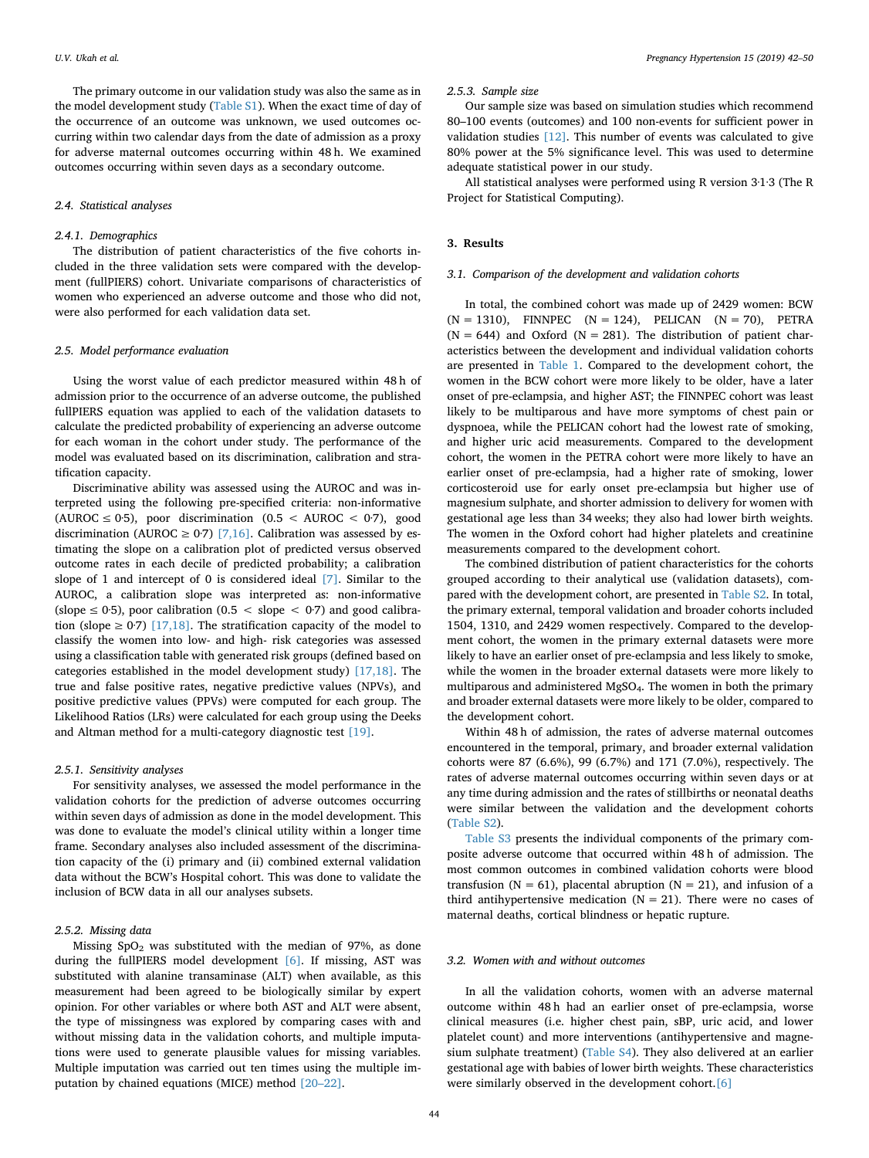The primary outcome in our validation study was also the same as in the model development study (Table S1). When the exact time of day of the occurrence of an outcome was unknown, we used outcomes occurring within two calendar days from the date of admission as a proxy for adverse maternal outcomes occurring within 48 h. We examined outcomes occurring within seven days as a secondary outcome.

## *2.4. Statistical analyses*

## *2.4.1. Demographics*

The distribution of patient characteristics of the five cohorts included in the three validation sets were compared with the development (fullPIERS) cohort. Univariate comparisons of characteristics of women who experienced an adverse outcome and those who did not, were also performed for each validation data set.

## *2.5. Model performance evaluation*

Using the worst value of each predictor measured within 48 h of admission prior to the occurrence of an adverse outcome, the published fullPIERS equation was applied to each of the validation datasets to calculate the predicted probability of experiencing an adverse outcome for each woman in the cohort under study. The performance of the model was evaluated based on its discrimination, calibration and stratification capacity.

Discriminative ability was assessed using the AUROC and was interpreted using the following pre-specified criteria: non-informative (AUROC  $\leq$  0.5), poor discrimination (0.5 < AUROC < 0.7), good discrimination (AUROC  $\geq$  0.7) [\[7,16\].](#page-7-4) Calibration was assessed by estimating the slope on a calibration plot of predicted versus observed outcome rates in each decile of predicted probability; a calibration slope of 1 and intercept of 0 is considered ideal [\[7\].](#page-7-4) Similar to the AUROC, a calibration slope was interpreted as: non-informative (slope  $\leq$  0.5), poor calibration (0.5  $\leq$  slope  $\leq$  0.7) and good calibration (slope  $\geq$  0.7) [\[17,18\]](#page-7-11). The stratification capacity of the model to classify the women into low- and high- risk categories was assessed using a classification table with generated risk groups (defined based on categories established in the model development study) [\[17,18\].](#page-7-11) The true and false positive rates, negative predictive values (NPVs), and positive predictive values (PPVs) were computed for each group. The Likelihood Ratios (LRs) were calculated for each group using the Deeks and Altman method for a multi-category diagnostic test [\[19\]](#page-7-12).

#### *2.5.1. Sensitivity analyses*

For sensitivity analyses, we assessed the model performance in the validation cohorts for the prediction of adverse outcomes occurring within seven days of admission as done in the model development. This was done to evaluate the model's clinical utility within a longer time frame. Secondary analyses also included assessment of the discrimination capacity of the (i) primary and (ii) combined external validation data without the BCW's Hospital cohort. This was done to validate the inclusion of BCW data in all our analyses subsets.

#### *2.5.2. Missing data*

Missing  $SpO<sub>2</sub>$  was substituted with the median of 97%, as done during the fullPIERS model development [\[6\]](#page-7-3). If missing, AST was substituted with alanine transaminase (ALT) when available, as this measurement had been agreed to be biologically similar by expert opinion. For other variables or where both AST and ALT were absent, the type of missingness was explored by comparing cases with and without missing data in the validation cohorts, and multiple imputations were used to generate plausible values for missing variables. Multiple imputation was carried out ten times using the multiple imputation by chained equations (MICE) method [\[20–22\]](#page-7-13).

#### *2.5.3. Sample size*

Our sample size was based on simulation studies which recommend 80–100 events (outcomes) and 100 non-events for sufficient power in validation studies [\[12\]](#page-7-7). This number of events was calculated to give 80% power at the 5% significance level. This was used to determine adequate statistical power in our study.

All statistical analyses were performed using R version 3·1·3 (The R Project for Statistical Computing).

#### **3. Results**

#### *3.1. Comparison of the development and validation cohorts*

In total, the combined cohort was made up of 2429 women: BCW  $(N = 1310)$ , FINNPEC  $(N = 124)$ , PELICAN  $(N = 70)$ , PETRA  $(N = 644)$  and Oxford  $(N = 281)$ . The distribution of patient characteristics between the development and individual validation cohorts are presented in [Table 1](#page-3-0). Compared to the development cohort, the women in the BCW cohort were more likely to be older, have a later onset of pre-eclampsia, and higher AST; the FINNPEC cohort was least likely to be multiparous and have more symptoms of chest pain or dyspnoea, while the PELICAN cohort had the lowest rate of smoking, and higher uric acid measurements. Compared to the development cohort, the women in the PETRA cohort were more likely to have an earlier onset of pre-eclampsia, had a higher rate of smoking, lower corticosteroid use for early onset pre-eclampsia but higher use of magnesium sulphate, and shorter admission to delivery for women with gestational age less than 34 weeks; they also had lower birth weights. The women in the Oxford cohort had higher platelets and creatinine measurements compared to the development cohort.

The combined distribution of patient characteristics for the cohorts grouped according to their analytical use (validation datasets), compared with the development cohort, are presented in Table S2. In total, the primary external, temporal validation and broader cohorts included 1504, 1310, and 2429 women respectively. Compared to the development cohort, the women in the primary external datasets were more likely to have an earlier onset of pre-eclampsia and less likely to smoke, while the women in the broader external datasets were more likely to multiparous and administered MgSO4. The women in both the primary and broader external datasets were more likely to be older, compared to the development cohort.

Within 48 h of admission, the rates of adverse maternal outcomes encountered in the temporal, primary, and broader external validation cohorts were 87 (6.6%), 99 (6.7%) and 171 (7.0%), respectively. The rates of adverse maternal outcomes occurring within seven days or at any time during admission and the rates of stillbirths or neonatal deaths were similar between the validation and the development cohorts (Table S2).

Table S3 presents the individual components of the primary composite adverse outcome that occurred within 48 h of admission. The most common outcomes in combined validation cohorts were blood transfusion ( $N = 61$ ), placental abruption ( $N = 21$ ), and infusion of a third antihypertensive medication ( $N = 21$ ). There were no cases of maternal deaths, cortical blindness or hepatic rupture.

## *3.2. Women with and without outcomes*

In all the validation cohorts, women with an adverse maternal outcome within 48 h had an earlier onset of pre-eclampsia, worse clinical measures (i.e. higher chest pain, sBP, uric acid, and lower platelet count) and more interventions (antihypertensive and magnesium sulphate treatment) (Table S4). They also delivered at an earlier gestational age with babies of lower birth weights. These characteristics were similarly observed in the development cohort.[\[6\]](#page-7-3)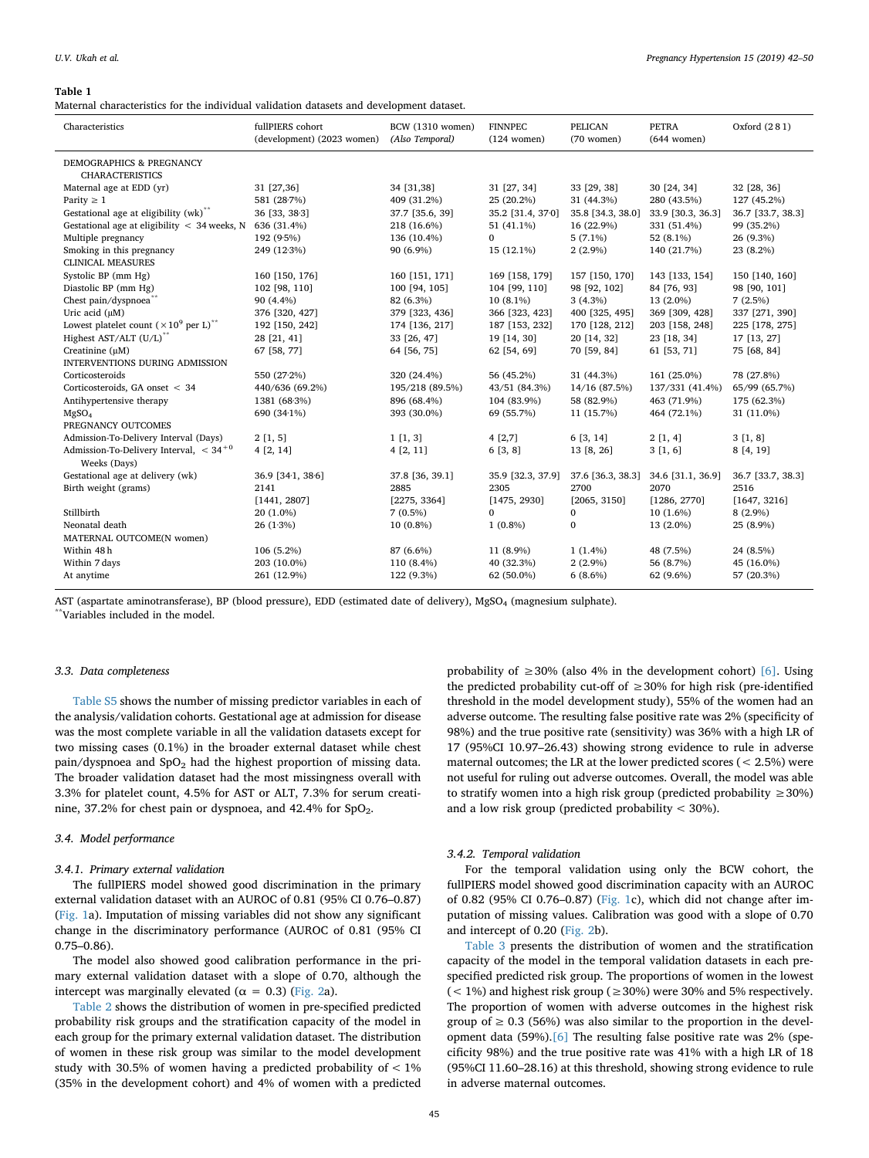#### <span id="page-3-0"></span>**Table 1**

Maternal characteristics for the individual validation datasets and development dataset.

| Characteristics                                           | fullPIERS cohort<br>(development) (2023 women) | <b>BCW</b> (1310 women)<br>(Also Temporal) | <b>FINNPEC</b><br>$(124$ women) | <b>PELICAN</b><br>$(70$ women) | <b>PETRA</b><br>$(644$ women) | Oxford (281)      |
|-----------------------------------------------------------|------------------------------------------------|--------------------------------------------|---------------------------------|--------------------------------|-------------------------------|-------------------|
| <b>DEMOGRAPHICS &amp; PREGNANCY</b>                       |                                                |                                            |                                 |                                |                               |                   |
| <b>CHARACTERISTICS</b><br>Maternal age at EDD (yr)        | 31 [27,36]                                     | 34 [31,38]                                 | 31 [27, 34]                     | 33 [29, 38]                    | 30 [24, 34]                   |                   |
|                                                           |                                                |                                            |                                 |                                |                               | 32 [28, 36]       |
| Parity $\geq 1$                                           | 581 (28.7%)                                    | 409 (31.2%)                                | 25 (20.2%)                      | 31 (44.3%)                     | 280 (43.5%)                   | 127 (45.2%)       |
| Gestational age at eligibility (wk) <sup>**</sup>         | 36 [33, 38.3]                                  | 37.7 [35.6, 39]                            | 35.2 [31.4, 370]                | 35.8 [34.3, 38.0]              | 33.9 [30.3, 36.3]             | 36.7 [33.7, 38.3] |
| Gestational age at eligibility $\langle$ 34 weeks, N      | 636 (31.4%)                                    | 218 (16.6%)                                | 51 (41.1%)<br>$\Omega$          | 16 (22.9%)                     | 331 (51.4%)                   | 99 (35.2%)        |
| Multiple pregnancy                                        | 192 (9.5%)                                     | 136 (10.4%)                                |                                 | $5(7.1\%)$                     | 52 (8.1%)                     | 26 (9.3%)         |
| Smoking in this pregnancy                                 | 249 (12.3%)                                    | 90 (6.9%)                                  | 15 (12.1%)                      | $2(2.9\%)$                     | 140 (21.7%)                   | 23 (8.2%)         |
| <b>CLINICAL MEASURES</b>                                  |                                                |                                            |                                 |                                |                               |                   |
| Systolic BP (mm Hg)                                       | 160 [150, 176]                                 | 160 [151, 171]                             | 169 [158, 179]                  | 157 [150, 170]                 | 143 [133, 154]                | 150 [140, 160]    |
| Diastolic BP (mm Hg)                                      | 102 [98, 110]                                  | 100 [94, 105]                              | 104 [99, 110]                   | 98 [92, 102]                   | 84 [76, 93]                   | 98 [90, 101]      |
| Chest pain/dyspnoea <sup>**</sup>                         | 90 (4.4%)                                      | 82 (6.3%)                                  | $10(8.1\%)$                     | $3(4.3\%)$                     | 13 (2.0%)                     | 7(2.5%)           |
| Uric acid (uM)                                            | 376 [320, 427]                                 | 379 [323, 436]                             | 366 [323, 423]                  | 400 [325, 495]                 | 369 [309, 428]                | 337 [271, 390]    |
| Lowest platelet count $(\times 10^9$ per L) <sup>**</sup> | 192 [150, 242]                                 | 174 [136, 217]                             | 187 [153, 232]                  | 170 [128, 212]                 | 203 [158, 248]                | 225 [178, 275]    |
| Highest AST/ALT (U/L) <sup>**</sup>                       | 28 [21, 41]                                    | 33 [26, 47]                                | 19 [14, 30]                     | 20 [14, 32]                    | 23 [18, 34]                   | 17 [13, 27]       |
| Creatinine (µM)                                           | 67 [58, 77]                                    | 64 [56, 75]                                | 62 [54, 69]                     | 70 [59, 84]                    | 61 [53, 71]                   | 75 [68, 84]       |
| INTERVENTIONS DURING ADMISSION                            |                                                |                                            |                                 |                                |                               |                   |
| Corticosteroids                                           | 550 (27.2%)                                    | 320 (24.4%)                                | 56 (45.2%)                      | 31 (44.3%)                     | 161 (25.0%)                   | 78 (27.8%)        |
| Corticosteroids, GA onset < 34                            | 440/636 (69.2%)                                | 195/218 (89.5%)                            | 43/51 (84.3%)                   | 14/16 (87.5%)                  | 137/331 (41.4%)               | 65/99 (65.7%)     |
| Antihypertensive therapy                                  | 1381 (68.3%)                                   | 896 (68.4%)                                | 104 (83.9%)                     | 58 (82.9%)                     | 463 (71.9%)                   | 175 (62.3%)       |
| MgSO <sub>4</sub>                                         | 690 (34.1%)                                    | 393 (30.0%)                                | 69 (55.7%)                      | 11 (15.7%)                     | 464 (72.1%)                   | 31 (11.0%)        |
| PREGNANCY OUTCOMES                                        |                                                |                                            |                                 |                                |                               |                   |
| Admission-To-Delivery Interval (Days)                     | 2[1, 5]                                        | 1[1,3]                                     | 4[2,7]                          | 6 [3, 14]                      | 2[1, 4]                       | 3[1, 8]           |
| Admission-To-Delivery Interval, $< 34^{+0}$               | 4[2, 14]                                       | 4[2, 11]                                   | 6[3, 8]                         | 13 [8, 26]                     | 3[1, 6]                       | 8 [4, 19]         |
| Weeks (Days)                                              |                                                |                                            |                                 |                                |                               |                   |
| Gestational age at delivery (wk)                          | 36.9 [34.1, 38.6]                              | 37.8 [36, 39.1]                            | 35.9 [32.3, 37.9]               | 37.6 [36.3, 38.3]              | 34.6 [31.1, 36.9]             | 36.7 [33.7, 38.3] |
| Birth weight (grams)                                      | 2141                                           | 2885                                       | 2305                            | 2700                           | 2070                          | 2516              |
|                                                           | [1441, 2807]                                   | [2275, 3364]                               | [1475, 2930]                    | [2065, 3150]                   | [1286, 2770]                  | [1647, 3216]      |
| Stillbirth                                                | $20(1.0\%)$                                    | $7(0.5\%)$                                 | $\Omega$                        | 0                              | 10 (1.6%)                     | $8(2.9\%)$        |
| Neonatal death                                            | $26(1.3\%)$                                    | 10 (0.8%)                                  | $1(0.8\%)$                      | $\overline{0}$                 | 13 (2.0%)                     | 25 (8.9%)         |
| MATERNAL OUTCOME(N women)                                 |                                                |                                            |                                 |                                |                               |                   |
| Within 48h                                                | $106(5.2\%)$                                   | 87 (6.6%)                                  | 11 (8.9%)                       | $1(1.4\%)$                     | 48 (7.5%)                     | 24 (8.5%)         |
| Within 7 days                                             | 203 (10.0%)                                    | 110 (8.4%)                                 | 40 (32.3%)                      | $2(2.9\%)$                     | 56 (8.7%)                     | 45 (16.0%)        |
| At anytime                                                | 261 (12.9%)                                    | 122 (9.3%)                                 | 62 (50.0%)                      | $6(8.6\%)$                     | 62 (9.6%)                     | 57 (20.3%)        |
|                                                           |                                                |                                            |                                 |                                |                               |                   |

AST (aspartate aminotransferase), BP (blood pressure), EDD (estimated date of delivery), MgSO<sub>4</sub> (magnesium sulphate). \*\*Variables included in the model.

## *3.3. Data completeness*

Table S5 shows the number of missing predictor variables in each of the analysis/validation cohorts. Gestational age at admission for disease was the most complete variable in all the validation datasets except for two missing cases (0.1%) in the broader external dataset while chest pain/dyspnoea and  $SpO<sub>2</sub>$  had the highest proportion of missing data. The broader validation dataset had the most missingness overall with 3.3% for platelet count, 4.5% for AST or ALT, 7.3% for serum creatinine, 37.2% for chest pain or dyspnoea, and 42.4% for  $SpO<sub>2</sub>$ .

#### *3.4. Model performance*

## *3.4.1. Primary external validation*

The fullPIERS model showed good discrimination in the primary external validation dataset with an AUROC of 0.81 (95% CI 0.76–0.87) ([Fig. 1a](#page-4-0)). Imputation of missing variables did not show any significant change in the discriminatory performance (AUROC of 0.81 (95% CI 0.75–0.86).

The model also showed good calibration performance in the primary external validation dataset with a slope of 0.70, although the intercept was marginally elevated ( $\alpha = 0.3$ ) [\(Fig. 2](#page-5-0)a).

[Table 2](#page-5-1) shows the distribution of women in pre-specified predicted probability risk groups and the stratification capacity of the model in each group for the primary external validation dataset. The distribution of women in these risk group was similar to the model development study with 30.5% of women having a predicted probability of < 1% (35% in the development cohort) and 4% of women with a predicted

probability of  $\geq$  30% (also 4% in the development cohort) [\[6\]](#page-7-3). Using the predicted probability cut-off of  $\geq$  30% for high risk (pre-identified threshold in the model development study), 55% of the women had an adverse outcome. The resulting false positive rate was 2% (specificity of 98%) and the true positive rate (sensitivity) was 36% with a high LR of 17 (95%CI 10.97–26.43) showing strong evidence to rule in adverse maternal outcomes; the LR at the lower predicted scores (< 2.5%) were not useful for ruling out adverse outcomes. Overall, the model was able to stratify women into a high risk group (predicted probability  $\geq 30\%$ ) and a low risk group (predicted probability < 30%).

#### *3.4.2. Temporal validation*

For the temporal validation using only the BCW cohort, the fullPIERS model showed good discrimination capacity with an AUROC of 0.82 (95% CI 0.76–0.87) [\(Fig. 1c](#page-4-0)), which did not change after imputation of missing values. Calibration was good with a slope of 0.70 and intercept of 0.20 [\(Fig. 2b](#page-5-0)).

[Table 3](#page-6-0) presents the distribution of women and the stratification capacity of the model in the temporal validation datasets in each prespecified predicted risk group. The proportions of women in the lowest ( $<$  1%) and highest risk group ( $\geq$  30%) were 30% and 5% respectively. The proportion of women with adverse outcomes in the highest risk group of  $\geq$  0.3 (56%) was also similar to the proportion in the development data (59%).[\[6\]](#page-7-3) The resulting false positive rate was 2% (specificity 98%) and the true positive rate was 41% with a high LR of 18 (95%CI 11.60–28.16) at this threshold, showing strong evidence to rule in adverse maternal outcomes.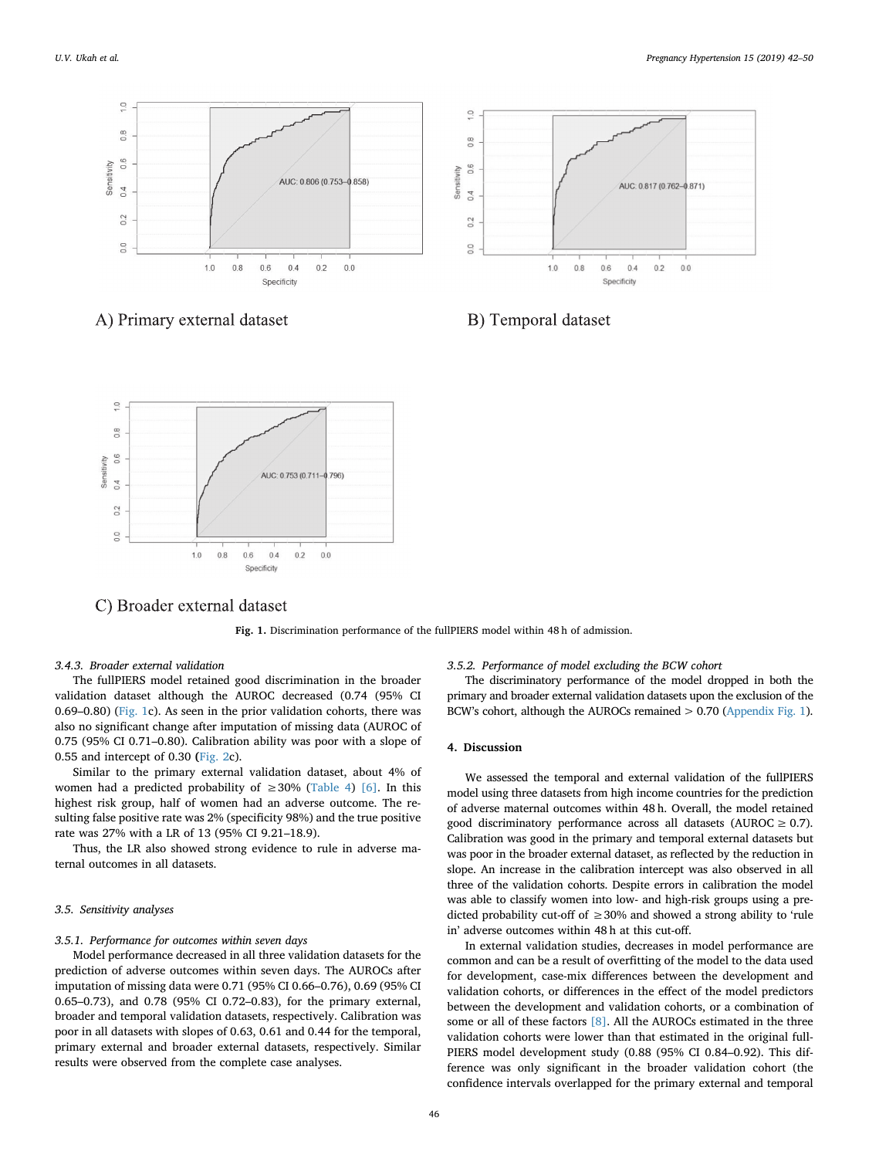<span id="page-4-0"></span>



A) Primary external dataset





C) Broader external dataset

**Fig. 1.** Discrimination performance of the fullPIERS model within 48 h of admission.

# *3.4.3. Broader external validation*

The fullPIERS model retained good discrimination in the broader validation dataset although the AUROC decreased (0.74 (95% CI 0.69–0.80) ([Fig. 1c](#page-4-0)). As seen in the prior validation cohorts, there was also no significant change after imputation of missing data (AUROC of 0.75 (95% CI 0.71–0.80). Calibration ability was poor with a slope of 0.55 and intercept of 0.30 **(**[Fig. 2](#page-5-0)c).

Similar to the primary external validation dataset, about 4% of women had a predicted probability of  $\geq 30\%$  ([Table 4\)](#page-6-1) [\[6\].](#page-7-3) In this highest risk group, half of women had an adverse outcome. The resulting false positive rate was 2% (specificity 98%) and the true positive rate was 27% with a LR of 13 (95% CI 9.21–18.9).

Thus, the LR also showed strong evidence to rule in adverse maternal outcomes in all datasets.

# *3.5. Sensitivity analyses*

#### *3.5.1. Performance for outcomes within seven days*

Model performance decreased in all three validation datasets for the prediction of adverse outcomes within seven days. The AUROCs after imputation of missing data were 0.71 (95% CI 0.66–0.76), 0.69 (95% CI 0.65–0.73), and 0.78 (95% CI 0.72–0.83), for the primary external, broader and temporal validation datasets, respectively. Calibration was poor in all datasets with slopes of 0.63, 0.61 and 0.44 for the temporal, primary external and broader external datasets, respectively. Similar results were observed from the complete case analyses.

## *3.5.2. Performance of model excluding the BCW cohort*

The discriminatory performance of the model dropped in both the primary and broader external validation datasets upon the exclusion of the BCW's cohort, although the AUROCs remained  $> 0.70$  (Appendix Fig. 1).

## **4. Discussion**

We assessed the temporal and external validation of the fullPIERS model using three datasets from high income countries for the prediction of adverse maternal outcomes within 48 h. Overall, the model retained good discriminatory performance across all datasets (AUROC  $\geq$  0.7). Calibration was good in the primary and temporal external datasets but was poor in the broader external dataset, as reflected by the reduction in slope. An increase in the calibration intercept was also observed in all three of the validation cohorts. Despite errors in calibration the model was able to classify women into low- and high-risk groups using a predicted probability cut-off of  $\geq$  30% and showed a strong ability to 'rule in' adverse outcomes within 48 h at this cut-off.

In external validation studies, decreases in model performance are common and can be a result of overfitting of the model to the data used for development, case-mix differences between the development and validation cohorts, or differences in the effect of the model predictors between the development and validation cohorts, or a combination of some or all of these factors [\[8\]](#page-7-5). All the AUROCs estimated in the three validation cohorts were lower than that estimated in the original full-PIERS model development study (0.88 (95% CI 0.84–0.92). This difference was only significant in the broader validation cohort (the confidence intervals overlapped for the primary external and temporal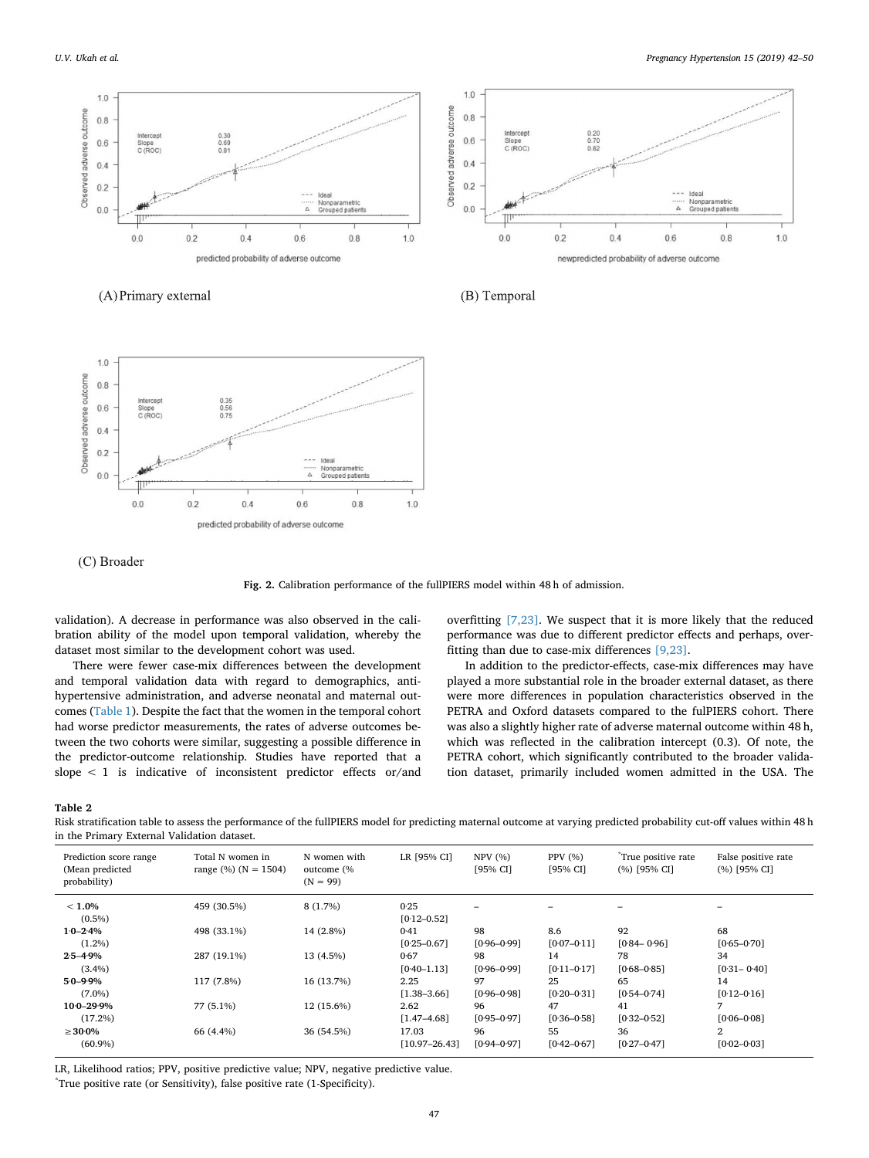<span id="page-5-0"></span>

(A) Primary external

(B) Temporal



(C) Broader

**Fig. 2.** Calibration performance of the fullPIERS model within 48 h of admission.

validation). A decrease in performance was also observed in the calibration ability of the model upon temporal validation, whereby the dataset most similar to the development cohort was used.

There were fewer case-mix differences between the development and temporal validation data with regard to demographics, antihypertensive administration, and adverse neonatal and maternal outcomes [\(Table 1](#page-3-0)). Despite the fact that the women in the temporal cohort had worse predictor measurements, the rates of adverse outcomes between the two cohorts were similar, suggesting a possible difference in the predictor-outcome relationship. Studies have reported that a slope < 1 is indicative of inconsistent predictor effects or/and

overfitting [\[7,23\]](#page-7-4). We suspect that it is more likely that the reduced performance was due to different predictor effects and perhaps, overfitting than due to case-mix differences [\[9,23\]](#page-7-14).

In addition to the predictor-effects, case-mix differences may have played a more substantial role in the broader external dataset, as there were more differences in population characteristics observed in the PETRA and Oxford datasets compared to the fulPIERS cohort. There was also a slightly higher rate of adverse maternal outcome within 48 h, which was reflected in the calibration intercept (0.3). Of note, the PETRA cohort, which significantly contributed to the broader validation dataset, primarily included women admitted in the USA. The

#### <span id="page-5-1"></span>**Table 2**

Risk stratification table to assess the performance of the fullPIERS model for predicting maternal outcome at varying predicted probability cut-off values within 48 h in the Primary External Validation dataset.

| Prediction score range<br>(Mean predicted<br>probability) | Total N women in<br>range $(\%)$ (N = 1504) | N women with<br>outcome (%<br>$(N = 99)$ | LR [95% CI]       | NPV(%)<br>[95% CI] | PPV (%)<br>[95% CI] | True positive rate<br>$(%)$ [95% CI] | False positive rate<br>(%) [95% CI] |
|-----------------------------------------------------------|---------------------------------------------|------------------------------------------|-------------------|--------------------|---------------------|--------------------------------------|-------------------------------------|
| $< 1.0\%$                                                 | 459 (30.5%)                                 | $8(1.7\%)$                               | 0.25              |                    |                     |                                      |                                     |
| $(0.5\%)$                                                 |                                             |                                          | $[0.12 - 0.52]$   |                    |                     |                                      |                                     |
| $1.0 - 2.4\%$                                             | 498 (33.1%)                                 | 14 (2.8%)                                | 0.41              | 98                 | 8.6                 | 92                                   | 68                                  |
| $(1.2\%)$                                                 |                                             |                                          | $[0.25 - 0.67]$   | $[0.96 - 0.99]$    | $[0.07 - 0.11]$     | $[0.84 - 0.96]$                      | $[0.65 - 0.70]$                     |
| $2.5 - 4.9\%$                                             | 287 (19.1%)                                 | 13 (4.5%)                                | 0.67              | 98                 | 14                  | 78                                   | 34                                  |
| $(3.4\%)$                                                 |                                             |                                          | $[0.40 - 1.13]$   | $[0.96 - 0.99]$    | $[0.11 - 0.17]$     | $[0.68 - 0.85]$                      | $[0.31 - 0.40]$                     |
| $5.0 - 9.9\%$                                             | 117 (7.8%)                                  | 16 (13.7%)                               | 2.25              | 97                 | 25                  | 65                                   | 14                                  |
| $(7.0\%)$                                                 |                                             |                                          | $[1.38 - 3.66]$   | $[0.96 - 0.98]$    | $[0.20 - 0.31]$     | $[0.54 - 0.74]$                      | $[0.12 - 0.16]$                     |
| $10-0-29.9%$                                              | 77 (5.1%)                                   | 12 (15.6%)                               | 2.62              | 96                 | 47                  | 41                                   | 7                                   |
| (17.2%)                                                   |                                             |                                          | $[1.47 - 4.68]$   | $[0.95 - 0.97]$    | $[0.36 - 0.58]$     | $[0.32 - 0.52]$                      | $[0.06 - 0.08]$                     |
| $\geq 30.0\%$                                             | 66 (4.4%)                                   | 36 (54.5%)                               | 17.03             | 96                 | 55                  | 36                                   | $\overline{2}$                      |
| $(60.9\%)$                                                |                                             |                                          | $[10.97 - 26.43]$ | $[0.94 - 0.97]$    | $[0.42 - 0.67]$     | $[0.27 - 0.47]$                      | $[0.02 - 0.03]$                     |

LR, Likelihood ratios; PPV, positive predictive value; NPV, negative predictive value.

\* True positive rate (or Sensitivity), false positive rate (1-Specificity).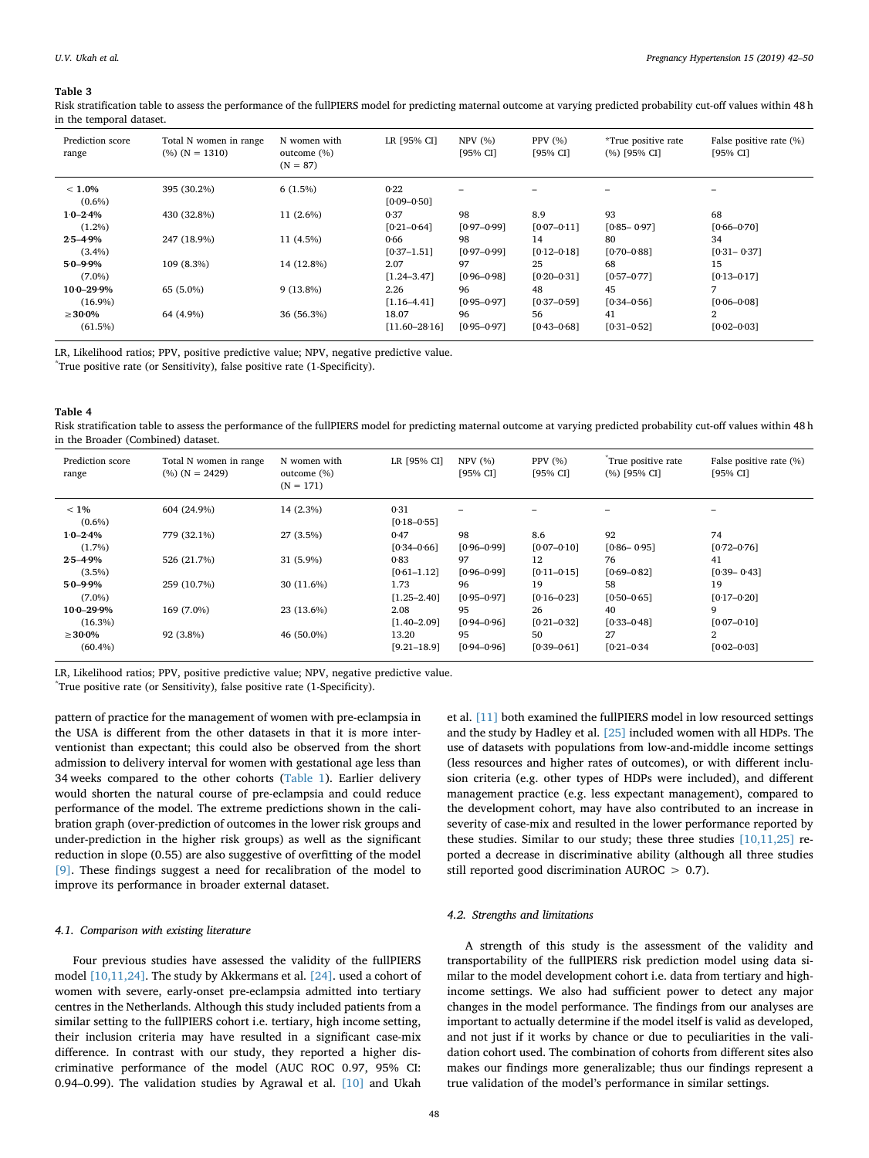#### <span id="page-6-0"></span>**Table 3**

Risk stratification table to assess the performance of the fullPIERS model for predicting maternal outcome at varying predicted probability cut-off values within 48 h in the temporal dataset.

| Prediction score<br>range | Total N women in range<br>$(%) (N = 1310)$ | N women with<br>outcome (%)<br>$(N = 87)$ | LR [95% CI]             | NPV(%)<br>[95% CI] | PPV $(%)$<br>[95% CI] | *True positive rate<br>$(%)$ [95% CI] | False positive rate (%)<br>[95% CI] |
|---------------------------|--------------------------------------------|-------------------------------------------|-------------------------|--------------------|-----------------------|---------------------------------------|-------------------------------------|
| $< 1.0\%$<br>$(0.6\%)$    | 395 (30.2%)                                | $6(1.5\%)$                                | 0.22<br>$[0.09 - 0.50]$ |                    |                       |                                       |                                     |
| $1.0 - 2.4\%$             | 430 (32.8%)                                | $11(2.6\%)$                               | 0.37                    | 98                 | 8.9                   | 93                                    | 68                                  |
| $(1.2\%)$                 |                                            |                                           | $[0.21 - 0.64]$         | $[0.97 - 0.99]$    | $[0.07 - 0.11]$       | $[0.85 - 0.97]$                       | $[0.66 - 0.70]$                     |
| $2.5 - 4.9\%$             | 247 (18.9%)                                | 11 (4.5%)                                 | 0.66                    | 98                 | 14                    | 80                                    | 34                                  |
| $(3.4\%)$                 |                                            |                                           | $[0.37 - 1.51]$         | $[0.97 - 0.99]$    | $[0.12 - 0.18]$       | $[0.70 - 0.88]$                       | $[0.31 - 0.37]$                     |
| $5.0 - 9.9\%$             | 109 (8.3%)                                 | 14 (12.8%)                                | 2.07                    | 97                 | 25                    | 68                                    | 15                                  |
| $(7.0\%)$                 |                                            |                                           | $[1.24 - 3.47]$         | $[0.96 - 0.98]$    | $[0.20 - 0.31]$       | $[0.57 - 0.77]$                       | $[0.13 - 0.17]$                     |
| $10.0 - 29.9\%$           | 65 (5.0%)                                  | $9(13.8\%)$                               | 2.26                    | 96                 | 48                    | 45                                    | 7                                   |
| $(16.9\%)$                |                                            |                                           | $[1.16 - 4.41]$         | $[0.95 - 0.97]$    | $[0.37 - 0.59]$       | $[0.34 - 0.56]$                       | $[0.06 - 0.08]$                     |
| $\geq 30.0\%$             | 64 (4.9%)                                  | 36 (56.3%)                                | 18.07                   | 96                 | 56                    | 41                                    | 2                                   |
| (61.5%)                   |                                            |                                           | $[11.60 - 28.16]$       | $[0.95 - 0.97]$    | $[0.43 - 0.68]$       | $[0.31 - 0.52]$                       | $[0.02 - 0.03]$                     |

LR, Likelihood ratios; PPV, positive predictive value; NPV, negative predictive value.

\* True positive rate (or Sensitivity), false positive rate (1-Specificity).

#### <span id="page-6-1"></span>**Table 4**

Risk stratification table to assess the performance of the fullPIERS model for predicting maternal outcome at varying predicted probability cut-off values within 48 h in the Broader (Combined) dataset.

| Prediction score<br>range | Total N women in range<br>$(\%)(N = 2429)$ | N women with<br>outcome (%)<br>$(N = 171)$ | LR [95% CI]             | NPV(%)<br>[95% CI] | PPV (%)<br>[95% CI] | True positive rate<br>(%) [95% CI] | False positive rate (%)<br>[95% CI] |
|---------------------------|--------------------------------------------|--------------------------------------------|-------------------------|--------------------|---------------------|------------------------------------|-------------------------------------|
| $< 1\%$<br>$(0.6\%)$      | 604 (24.9%)                                | 14 (2.3%)                                  | 0.31<br>$[0.18 - 0.55]$ |                    | -                   | -                                  |                                     |
| $1.0 - 2.4\%$             | 779 (32.1%)                                | 27 (3.5%)                                  | 0.47                    | 98                 | 8.6                 | 92                                 | 74                                  |
| $(1.7\%)$                 |                                            |                                            | $[0.34 - 0.66]$         | $[0.96 - 0.99]$    | $[0.07 - 0.10]$     | $[0.86 - 0.95]$                    | $[0.72 - 0.76]$                     |
| $2.5 - 4.9\%$             | 526 (21.7%)                                | $31(5.9\%)$                                | 0.83                    | 97                 | 12                  | 76                                 | 41                                  |
| $(3.5\%)$                 |                                            |                                            | $[0.61 - 1.12]$         | $[0.96 - 0.99]$    | $[0.11 - 0.15]$     | $[0.69 - 0.82]$                    | $[0.39 - 0.43]$                     |
| $5.0 - 9.9\%$             | 259 (10.7%)                                | 30 (11.6%)                                 | 1.73                    | 96                 | 19                  | 58                                 | 19                                  |
| $(7.0\%)$                 |                                            |                                            | $[1.25 - 2.40]$         | $[0.95 - 0.97]$    | $[0.16 - 0.23]$     | $[0.50 - 0.65]$                    | $[0.17 - 0.20]$                     |
| $10.0 - 29.9\%$           | 169 (7.0%)                                 | 23 (13.6%)                                 | 2.08                    | 95                 | 26                  | 40                                 | 9                                   |
| $(16.3\%)$                |                                            |                                            | $[1.40 - 2.09]$         | $[0.94 - 0.96]$    | $[0.21 - 0.32]$     | $[0.33 - 0.48]$                    | $[0.07 - 0.10]$                     |
| $\geq 30.0\%$             | 92 (3.8%)                                  | 46 (50.0%)                                 | 13.20                   | 95                 | 50                  | 27                                 | $\mathbf{2}$                        |
| $(60.4\%)$                |                                            |                                            | $[9.21 - 18.9]$         | $[0.94 - 0.96]$    | $[0.39 - 0.61]$     | $[0.21 - 0.34]$                    | $[0.02 - 0.03]$                     |

LR, Likelihood ratios; PPV, positive predictive value; NPV, negative predictive value.

\* True positive rate (or Sensitivity), false positive rate (1-Specificity).

pattern of practice for the management of women with pre-eclampsia in the USA is different from the other datasets in that it is more interventionist than expectant; this could also be observed from the short admission to delivery interval for women with gestational age less than 34 weeks compared to the other cohorts ([Table 1\)](#page-3-0). Earlier delivery would shorten the natural course of pre-eclampsia and could reduce performance of the model. The extreme predictions shown in the calibration graph (over-prediction of outcomes in the lower risk groups and under-prediction in the higher risk groups) as well as the significant reduction in slope (0.55) are also suggestive of overfitting of the model [\[9\].](#page-7-14) These findings suggest a need for recalibration of the model to improve its performance in broader external dataset.

## *4.1. Comparison with existing literature*

Four previous studies have assessed the validity of the fullPIERS model [\[10,11,24\].](#page-7-6) The study by Akkermans et al. [\[24\]](#page-8-0). used a cohort of women with severe, early-onset pre-eclampsia admitted into tertiary centres in the Netherlands. Although this study included patients from a similar setting to the fullPIERS cohort i.e. tertiary, high income setting, their inclusion criteria may have resulted in a significant case-mix difference. In contrast with our study, they reported a higher discriminative performance of the model (AUC ROC 0.97, 95% CI: 0.94–0.99). The validation studies by Agrawal et al. [\[10\]](#page-7-6) and Ukah

et al. [\[11\]](#page-7-15) both examined the fullPIERS model in low resourced settings and the study by Hadley et al. [\[25\]](#page-8-1) included women with all HDPs. The use of datasets with populations from low-and-middle income settings (less resources and higher rates of outcomes), or with different inclusion criteria (e.g. other types of HDPs were included), and different management practice (e.g. less expectant management), compared to the development cohort, may have also contributed to an increase in severity of case-mix and resulted in the lower performance reported by these studies. Similar to our study; these three studies [\[10,11,25\]](#page-7-6) reported a decrease in discriminative ability (although all three studies still reported good discrimination AUROC > 0.7).

# *4.2. Strengths and limitations*

A strength of this study is the assessment of the validity and transportability of the fullPIERS risk prediction model using data similar to the model development cohort i.e. data from tertiary and highincome settings. We also had sufficient power to detect any major changes in the model performance. The findings from our analyses are important to actually determine if the model itself is valid as developed, and not just if it works by chance or due to peculiarities in the validation cohort used. The combination of cohorts from different sites also makes our findings more generalizable; thus our findings represent a true validation of the model's performance in similar settings.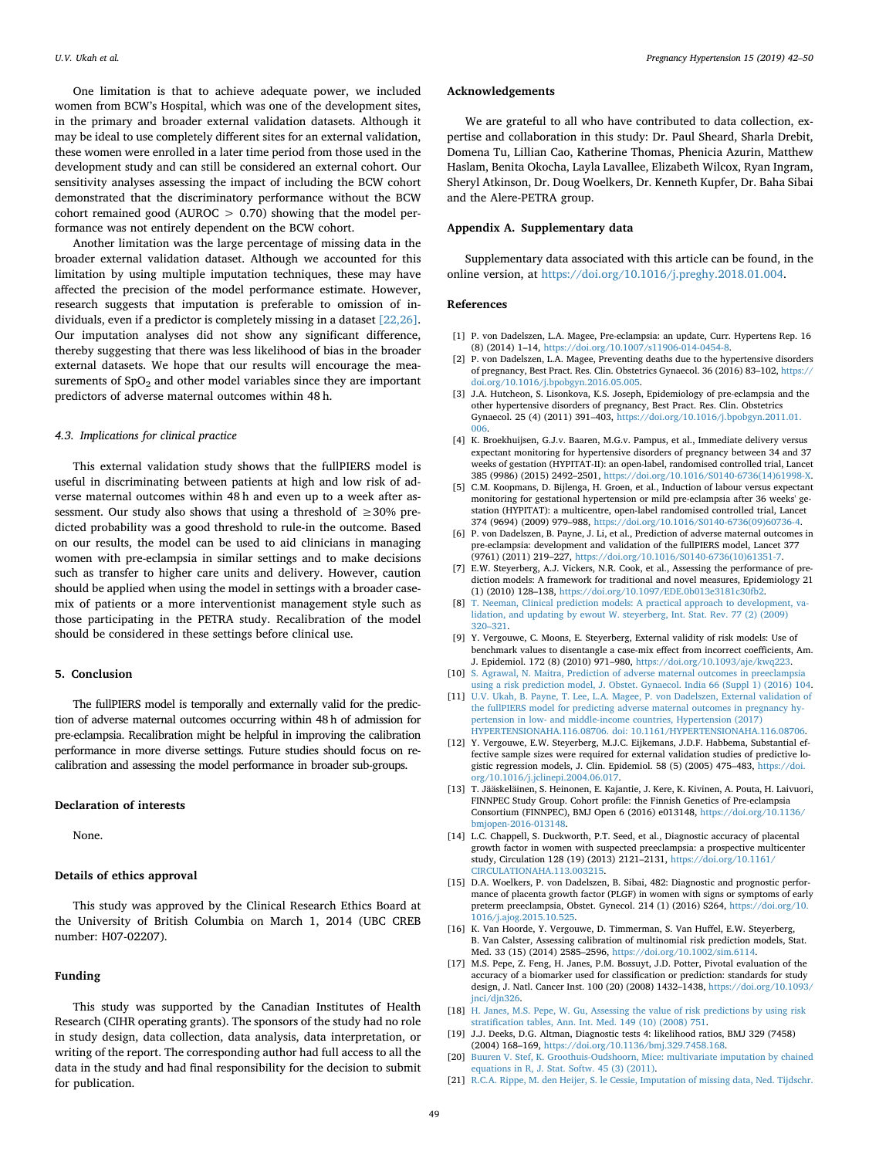One limitation is that to achieve adequate power, we included women from BCW's Hospital, which was one of the development sites, in the primary and broader external validation datasets. Although it may be ideal to use completely different sites for an external validation, these women were enrolled in a later time period from those used in the development study and can still be considered an external cohort. Our sensitivity analyses assessing the impact of including the BCW cohort demonstrated that the discriminatory performance without the BCW cohort remained good (AUROC  $> 0.70$ ) showing that the model performance was not entirely dependent on the BCW cohort.

Another limitation was the large percentage of missing data in the broader external validation dataset. Although we accounted for this limitation by using multiple imputation techniques, these may have affected the precision of the model performance estimate. However, research suggests that imputation is preferable to omission of individuals, even if a predictor is completely missing in a dataset [\[22,26\]](#page-8-2). Our imputation analyses did not show any significant difference, thereby suggesting that there was less likelihood of bias in the broader external datasets. We hope that our results will encourage the measurements of  $SpO<sub>2</sub>$  and other model variables since they are important predictors of adverse maternal outcomes within 48 h.

# *4.3. Implications for clinical practice*

This external validation study shows that the fullPIERS model is useful in discriminating between patients at high and low risk of adverse maternal outcomes within 48 h and even up to a week after assessment. Our study also shows that using a threshold of  $\geq 30\%$  predicted probability was a good threshold to rule-in the outcome. Based on our results, the model can be used to aid clinicians in managing women with pre-eclampsia in similar settings and to make decisions such as transfer to higher care units and delivery. However, caution should be applied when using the model in settings with a broader casemix of patients or a more interventionist management style such as those participating in the PETRA study. Recalibration of the model should be considered in these settings before clinical use.

#### **5. Conclusion**

The fullPIERS model is temporally and externally valid for the prediction of adverse maternal outcomes occurring within 48 h of admission for pre-eclampsia. Recalibration might be helpful in improving the calibration performance in more diverse settings. Future studies should focus on recalibration and assessing the model performance in broader sub-groups.

## **Declaration of interests**

None.

#### **Details of ethics approval**

This study was approved by the Clinical Research Ethics Board at the University of British Columbia on March 1, 2014 (UBC CREB number: H07-02207).

# **Funding**

This study was supported by the Canadian Institutes of Health Research (CIHR operating grants). The sponsors of the study had no role in study design, data collection, data analysis, data interpretation, or writing of the report. The corresponding author had full access to all the data in the study and had final responsibility for the decision to submit for publication.

#### **Acknowledgements**

We are grateful to all who have contributed to data collection, expertise and collaboration in this study: Dr. Paul Sheard, Sharla Drebit, Domena Tu, Lillian Cao, Katherine Thomas, Phenicia Azurin, Matthew Haslam, Benita Okocha, Layla Lavallee, Elizabeth Wilcox, Ryan Ingram, Sheryl Atkinson, Dr. Doug Woelkers, Dr. Kenneth Kupfer, Dr. Baha Sibai and the Alere-PETRA group.

# **Appendix A. Supplementary data**

Supplementary data associated with this article can be found, in the online version, at <https://doi.org/10.1016/j.preghy.2018.01.004>.

#### **References**

- <span id="page-7-0"></span>[1] P. von Dadelszen, L.A. Magee, Pre-eclampsia: an update, Curr. Hypertens Rep. 16 (8) (2014) 1–14, [https://doi.org/10.1007/s11906-014-0454-8.](https://doi.org/10.1007/s11906-014-0454-8)
- [2] P. von Dadelszen, L.A. Magee, Preventing deaths due to the hypertensive disorders of pregnancy, Best Pract. Res. Clin. Obstetrics Gynaecol. 36 (2016) 83–102, [https://](https://doi.org/10.1016/j.bpobgyn.2016.05.005) [doi.org/10.1016/j.bpobgyn.2016.05.005.](https://doi.org/10.1016/j.bpobgyn.2016.05.005)
- <span id="page-7-1"></span>[3] J.A. Hutcheon, S. Lisonkova, K.S. Joseph, Epidemiology of pre-eclampsia and the other hypertensive disorders of pregnancy, Best Pract. Res. Clin. Obstetrics Gynaecol. 25 (4) (2011) 391–403, [https://doi.org/10.1016/j.bpobgyn.2011.01.](https://doi.org/10.1016/j.bpobgyn.2011.01.006) [006.](https://doi.org/10.1016/j.bpobgyn.2011.01.006)
- <span id="page-7-2"></span>[4] K. Broekhuijsen, G.J.v. Baaren, M.G.v. Pampus, et al., Immediate delivery versus expectant monitoring for hypertensive disorders of pregnancy between 34 and 37 weeks of gestation (HYPITAT-II): an open-label, randomised controlled trial, Lancet 385 (9986) (2015) 2492–2501, [https://doi.org/10.1016/S0140-6736\(14\)61998-X.](https://doi.org/10.1016/S0140-6736(14)61998-X)
- [5] C.M. Koopmans, D. Bijlenga, H. Groen, et al., Induction of labour versus expectant monitoring for gestational hypertension or mild pre-eclampsia after 36 weeks' gestation (HYPITAT): a multicentre, open-label randomised controlled trial, Lancet 374 (9694) (2009) 979–988, [https://doi.org/10.1016/S0140-6736\(09\)60736-4.](https://doi.org/10.1016/S0140-6736(09)60736-4)
- <span id="page-7-3"></span>[6] P. von Dadelszen, B. Payne, J. Li, et al., Prediction of adverse maternal outcomes in pre-eclampsia: development and validation of the fullPIERS model, Lancet 377 (9761) (2011) 219–227, [https://doi.org/10.1016/S0140-6736\(10\)61351-7.](https://doi.org/10.1016/S0140-6736(10)61351-7)
- <span id="page-7-4"></span>[7] E.W. Steyerberg, A.J. Vickers, N.R. Cook, et al., Assessing the performance of prediction models: A framework for traditional and novel measures, Epidemiology 21 (1) (2010) 128–138, [https://doi.org/10.1097/EDE.0b013e3181c30fb2.](https://doi.org/10.1097/EDE.0b013e3181c30fb2)
- <span id="page-7-5"></span>[8] [T. Neeman, Clinical prediction models: A practical approach to development, va](http://refhub.elsevier.com/S2210-7789(17)30373-2/h0040)[lidation, and updating by ewout W. steyerberg, Int. Stat. Rev. 77 \(2\) \(2009\)](http://refhub.elsevier.com/S2210-7789(17)30373-2/h0040) [320–321.](http://refhub.elsevier.com/S2210-7789(17)30373-2/h0040)
- <span id="page-7-14"></span>[9] Y. Vergouwe, C. Moons, E. Steyerberg, External validity of risk models: Use of benchmark values to disentangle a case-mix effect from incorrect coefficients, Am. J. Epidemiol. 172 (8) (2010) 971–980, [https://doi.org/10.1093/aje/kwq223.](https://doi.org/10.1093/aje/kwq223)
- <span id="page-7-6"></span>[10] [S. Agrawal, N. Maitra, Prediction of adverse maternal outcomes in preeclampsia](http://refhub.elsevier.com/S2210-7789(17)30373-2/h0050) [using a risk prediction model, J. Obstet. Gynaecol. India 66 \(Suppl 1\) \(2016\) 104.](http://refhub.elsevier.com/S2210-7789(17)30373-2/h0050)
- <span id="page-7-15"></span>[11] [U.V. Ukah, B. Payne, T. Lee, L.A. Magee, P. von Dadelszen, External validation of](http://refhub.elsevier.com/S2210-7789(17)30373-2/h0055) [the fullPIERS model for predicting adverse maternal outcomes in pregnancy hy](http://refhub.elsevier.com/S2210-7789(17)30373-2/h0055)[pertension in low- and middle-income countries, Hypertension \(2017\)](http://refhub.elsevier.com/S2210-7789(17)30373-2/h0055) [HYPERTENSIONAHA.116.08706. doi: 10.1161/HYPERTENSIONAHA.116.08706.](http://refhub.elsevier.com/S2210-7789(17)30373-2/h0055)
- <span id="page-7-7"></span>[12] Y. Vergouwe, E.W. Steyerberg, M.J.C. Eijkemans, J.D.F. Habbema, Substantial effective sample sizes were required for external validation studies of predictive logistic regression models, J. Clin. Epidemiol. 58 (5) (2005) 475–483, [https://doi.](https://doi.org/10.1016/j.jclinepi.2004.06.017) [org/10.1016/j.jclinepi.2004.06.017.](https://doi.org/10.1016/j.jclinepi.2004.06.017)
- <span id="page-7-8"></span>[13] T. Jääskeläinen, S. Heinonen, E. Kajantie, J. Kere, K. Kivinen, A. Pouta, H. Laivuori, FINNPEC Study Group. Cohort profile: the Finnish Genetics of Pre-eclampsia Consortium (FINNPEC), BMJ Open 6 (2016) e013148, [https://doi.org/10.1136/](https://doi.org/10.1136/bmjopen-2016-013148) [bmjopen-2016-013148.](https://doi.org/10.1136/bmjopen-2016-013148)
- <span id="page-7-9"></span>[14] L.C. Chappell, S. Duckworth, P.T. Seed, et al., Diagnostic accuracy of placental growth factor in women with suspected preeclampsia: a prospective multicenter study, Circulation 128 (19) (2013) 2121–2131, [https://doi.org/10.1161/](https://doi.org/10.1161/CIRCULATIONAHA.113.003215) [CIRCULATIONAHA.113.003215.](https://doi.org/10.1161/CIRCULATIONAHA.113.003215)
- <span id="page-7-10"></span>[15] D.A. Woelkers, P. von Dadelszen, B. Sibai, 482: Diagnostic and prognostic performance of placenta growth factor (PLGF) in women with signs or symptoms of early preterm preeclampsia, Obstet. Gynecol. 214 (1) (2016) S264, [https://doi.org/10.](https://doi.org/10.1016/j.ajog.2015.10.525) [1016/j.ajog.2015.10.525.](https://doi.org/10.1016/j.ajog.2015.10.525)
- [16] K. Van Hoorde, Y. Vergouwe, D. Timmerman, S. Van Huffel, E.W. Steyerberg, B. Van Calster, Assessing calibration of multinomial risk prediction models, Stat. Med. 33 (15) (2014) 2585–2596, [https://doi.org/10.1002/sim.6114.](https://doi.org/10.1002/sim.6114)
- <span id="page-7-11"></span>[17] M.S. Pepe, Z. Feng, H. Janes, P.M. Bossuyt, J.D. Potter, Pivotal evaluation of the accuracy of a biomarker used for classification or prediction: standards for study design, J. Natl. Cancer Inst. 100 (20) (2008) 1432–1438, [https://doi.org/10.1093/](https://doi.org/10.1093/jnci/djn326) [jnci/djn326.](https://doi.org/10.1093/jnci/djn326)
- [18] [H. Janes, M.S. Pepe, W. Gu, Assessing the value of risk predictions by using risk](http://refhub.elsevier.com/S2210-7789(17)30373-2/h0090) [stratification tables, Ann. Int. Med. 149 \(10\) \(2008\) 751.](http://refhub.elsevier.com/S2210-7789(17)30373-2/h0090)
- <span id="page-7-12"></span>[19] J.J. Deeks, D.G. Altman, Diagnostic tests 4: likelihood ratios, BMJ 329 (7458) (2004) 168–169, [https://doi.org/10.1136/bmj.329.7458.168.](https://doi.org/10.1136/bmj.329.7458.168)
- <span id="page-7-13"></span>[20] [Buuren V. Stef, K. Groothuis-Oudshoorn, Mice: multivariate imputation by chained](http://refhub.elsevier.com/S2210-7789(17)30373-2/h0100) [equations in R, J. Stat. Softw. 45 \(3\) \(2011\).](http://refhub.elsevier.com/S2210-7789(17)30373-2/h0100)
- [21] [R.C.A. Rippe, M. den Heijer, S. le Cessie, Imputation of missing data, Ned. Tijdschr.](http://refhub.elsevier.com/S2210-7789(17)30373-2/h0105)